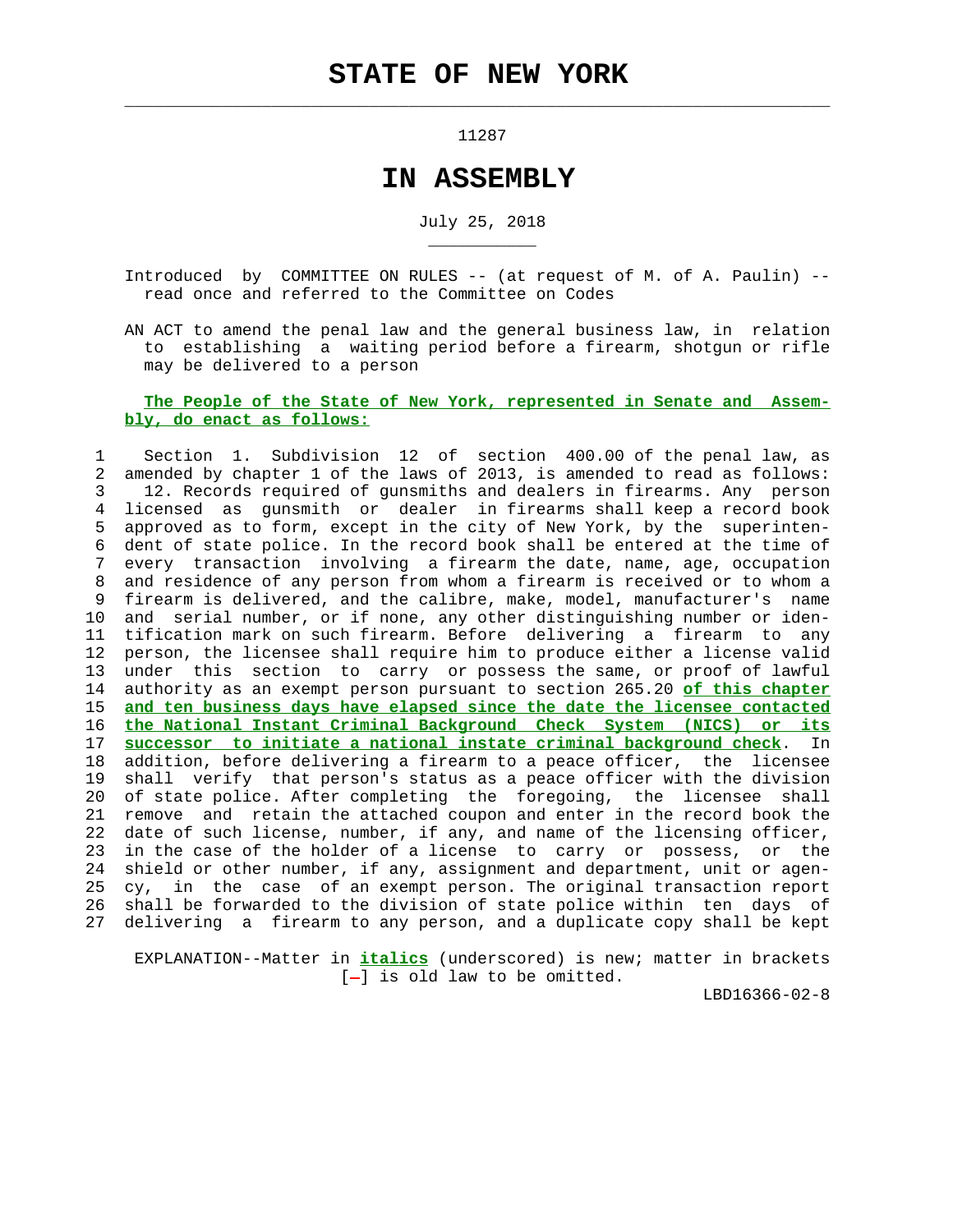$\mathcal{L}_\text{max} = \frac{1}{2} \sum_{i=1}^{n} \frac{1}{2} \sum_{i=1}^{n} \frac{1}{2} \sum_{i=1}^{n} \frac{1}{2} \sum_{i=1}^{n} \frac{1}{2} \sum_{i=1}^{n} \frac{1}{2} \sum_{i=1}^{n} \frac{1}{2} \sum_{i=1}^{n} \frac{1}{2} \sum_{i=1}^{n} \frac{1}{2} \sum_{i=1}^{n} \frac{1}{2} \sum_{i=1}^{n} \frac{1}{2} \sum_{i=1}^{n} \frac{1}{2} \sum_{i=1}^{n} \frac{1$ 

\_\_\_\_\_\_\_\_\_\_\_

11287

## **IN ASSEMBLY**

July 25, 2018

 Introduced by COMMITTEE ON RULES -- (at request of M. of A. Paulin) - read once and referred to the Committee on Codes

 AN ACT to amend the penal law and the general business law, in relation to establishing a waiting period before a firearm, shotgun or rifle may be delivered to a person

## **The People of the State of New York, represented in Senate and Assem bly, do enact as follows:**

 1 Section 1. Subdivision 12 of section 400.00 of the penal law, as 2 amended by chapter 1 of the laws of 2013, is amended to read as follows: 3 12. Records required of gunsmiths and dealers in firearms. Any person 4 licensed as gunsmith or dealer in firearms shall keep a record book 5 approved as to form, except in the city of New York, by the superinten- 6 dent of state police. In the record book shall be entered at the time of 7 every transaction involving a firearm the date, name, age, occupation 8 and residence of any person from whom a firearm is received or to whom a 9 firearm is delivered, and the calibre, make, model, manufacturer's name 10 and serial number, or if none, any other distinguishing number or iden- 11 tification mark on such firearm. Before delivering a firearm to any 12 person, the licensee shall require him to produce either a license valid 13 under this section to carry or possess the same, or proof of lawful 14 authority as an exempt person pursuant to section 265.20 **of this chapter** 15 **and ten business days have elapsed since the date the licensee contacted** 16 **the National Instant Criminal Background Check System (NICS) or its** 17 **successor to initiate a national instate criminal background check**. In 18 addition, before delivering a firearm to a peace officer, the licensee 19 shall verify that person's status as a peace officer with the division 20 of state police. After completing the foregoing, the licensee shall 21 remove and retain the attached coupon and enter in the record book the 22 date of such license, number, if any, and name of the licensing officer, 23 in the case of the holder of a license to carry or possess, or the 24 shield or other number, if any, assignment and department, unit or agen- 25 cy, in the case of an exempt person. The original transaction report 26 shall be forwarded to the division of state police within ten days of 27 delivering a firearm to any person, and a duplicate copy shall be kept

 EXPLANATION--Matter in **italics** (underscored) is new; matter in brackets  $[-]$  is old law to be omitted.

LBD16366-02-8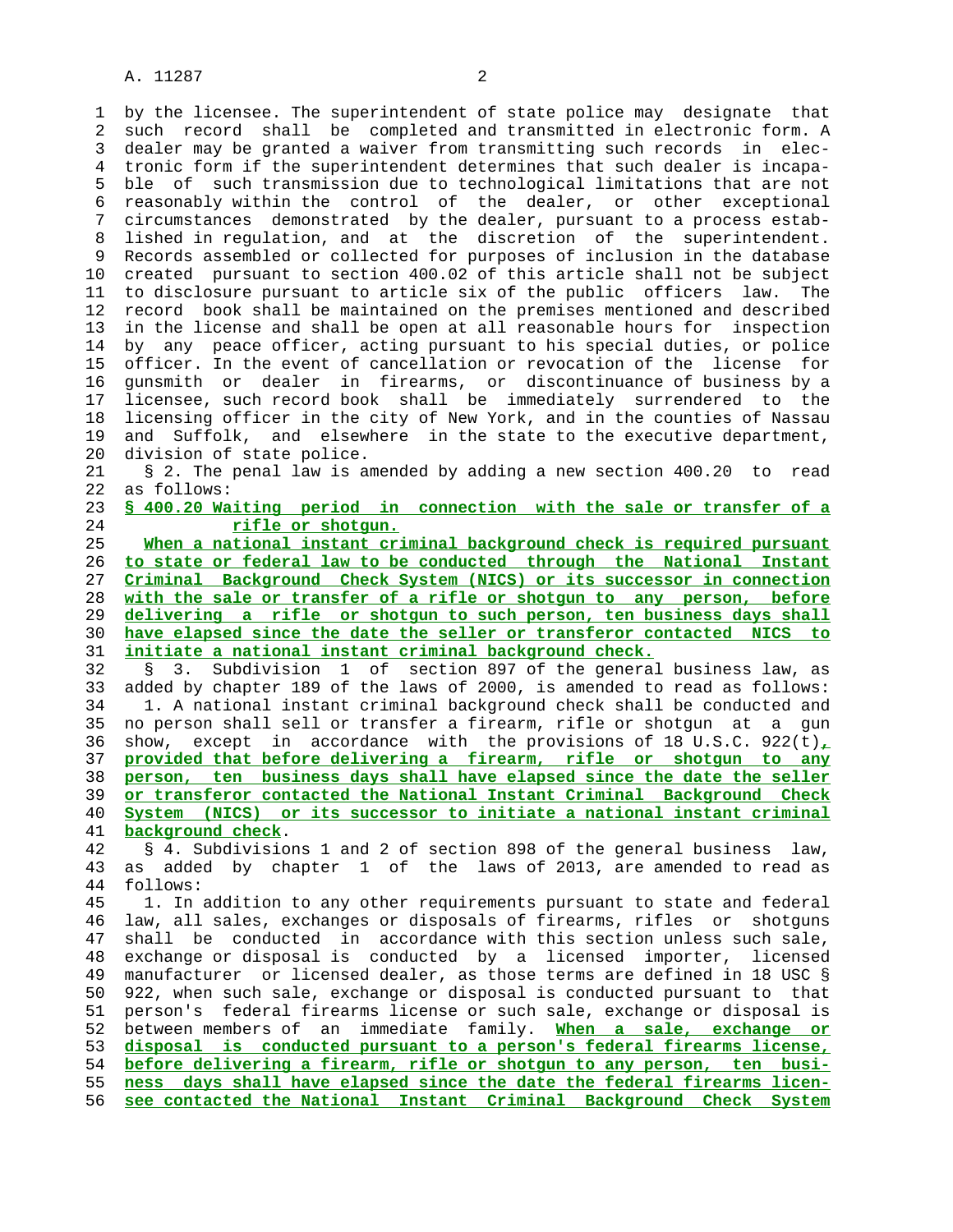1 by the licensee. The superintendent of state police may designate that 2 such record shall be completed and transmitted in electronic form. A 3 dealer may be granted a waiver from transmitting such records in elec- 4 tronic form if the superintendent determines that such dealer is incapa- 5 ble of such transmission due to technological limitations that are not 6 reasonably within the control of the dealer, or other exceptional 7 circumstances demonstrated by the dealer, pursuant to a process estab- 8 lished in regulation, and at the discretion of the superintendent. 9 Records assembled or collected for purposes of inclusion in the database 10 created pursuant to section 400.02 of this article shall not be subject 11 to disclosure pursuant to article six of the public officers law. The 12 record book shall be maintained on the premises mentioned and described 13 in the license and shall be open at all reasonable hours for inspection 14 by any peace officer, acting pursuant to his special duties, or police 15 officer. In the event of cancellation or revocation of the license for 16 gunsmith or dealer in firearms, or discontinuance of business by a 17 licensee, such record book shall be immediately surrendered to the 18 licensing officer in the city of New York, and in the counties of Nassau 19 and Suffolk, and elsewhere in the state to the executive department, 20 division of state police.

 21 § 2. The penal law is amended by adding a new section 400.20 to read 22 as follows:

 23 **§ 400.20 Waiting period in connection with the sale or transfer of a** 24 **rifle or shotgun.**

**When a national instant criminal background check is required pursuant to state or federal law to be conducted through the National Instant Criminal Background Check System (NICS) or its successor in connection with the sale or transfer of a rifle or shotgun to any person, before delivering a rifle or shotgun to such person, ten business days shall have elapsed since the date the seller or transferor contacted NICS to initiate a national instant criminal background check.**

 32 § 3. Subdivision 1 of section 897 of the general business law, as 33 added by chapter 189 of the laws of 2000, is amended to read as follows: 34 1. A national instant criminal background check shall be conducted and 35 no person shall sell or transfer a firearm, rifle or shotgun at a gun 36 show, except in accordance with the provisions of 18 U.S.C. 922(t)**,** 37 **provided that before delivering a firearm, rifle or shotgun to any** 38 **person, ten business days shall have elapsed since the date the seller** 39 **or transferor contacted the National Instant Criminal Background Check** 40 **System (NICS) or its successor to initiate a national instant criminal** 41 **background check**.

 42 § 4. Subdivisions 1 and 2 of section 898 of the general business law, 43 as added by chapter 1 of the laws of 2013, are amended to read as 44 follows:

 45 1. In addition to any other requirements pursuant to state and federal 46 law, all sales, exchanges or disposals of firearms, rifles or shotguns 47 shall be conducted in accordance with this section unless such sale, 48 exchange or disposal is conducted by a licensed importer, licensed 49 manufacturer or licensed dealer, as those terms are defined in 18 USC § 50 922, when such sale, exchange or disposal is conducted pursuant to that 51 person's federal firearms license or such sale, exchange or disposal is 52 between members of an immediate family. **When a sale, exchange or** 53 **disposal is conducted pursuant to a person's federal firearms license,** 54 **before delivering a firearm, rifle or shotgun to any person, ten busi-** 55 **ness days shall have elapsed since the date the federal firearms licen-** 56 **see contacted the National Instant Criminal Background Check System**